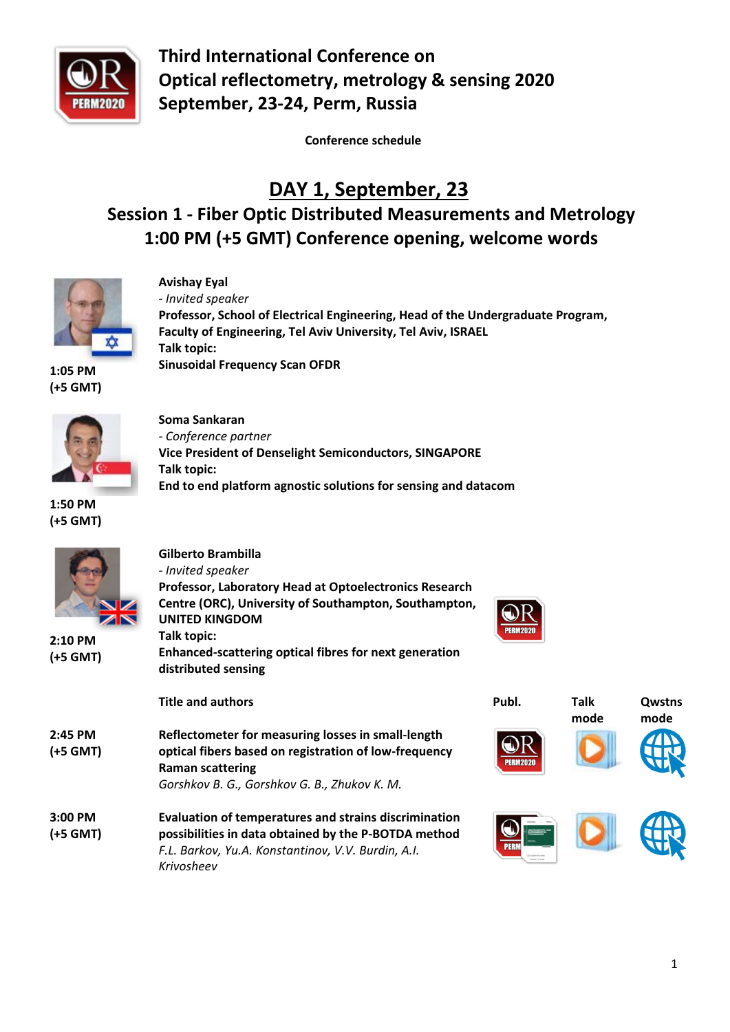

**Third International Conference on Optical reflectometry, metrology & sensing 2020 September, 23-24, Perm, Russia**

 **Conference schedule**

# **DAY 1, September, 23**

# **Session 1 - Fiber Optic Distributed Measurements and Metrology 1:00 PM (+5 GMT) Conference opening, welcome words**



**Avishay Eyal**  *- Invited speaker* **Professor, School of Electrical Engineering, Head of the Undergraduate Program, Faculty of Engineering, Tel Aviv University, Tel Aviv, ISRAEL Talk topic: Sinusoidal Frequency Scan OFDR**

**Vice President of Denselight Semiconductors, SINGAPORE**

**End to end platform agnostic solutions for sensing and datacom**

**1:05 PM (+5 GMT)**



**Soma Sankaran** *- Conference partner*

**Talk topic:**

**1:50 PM (+5 GMT)**

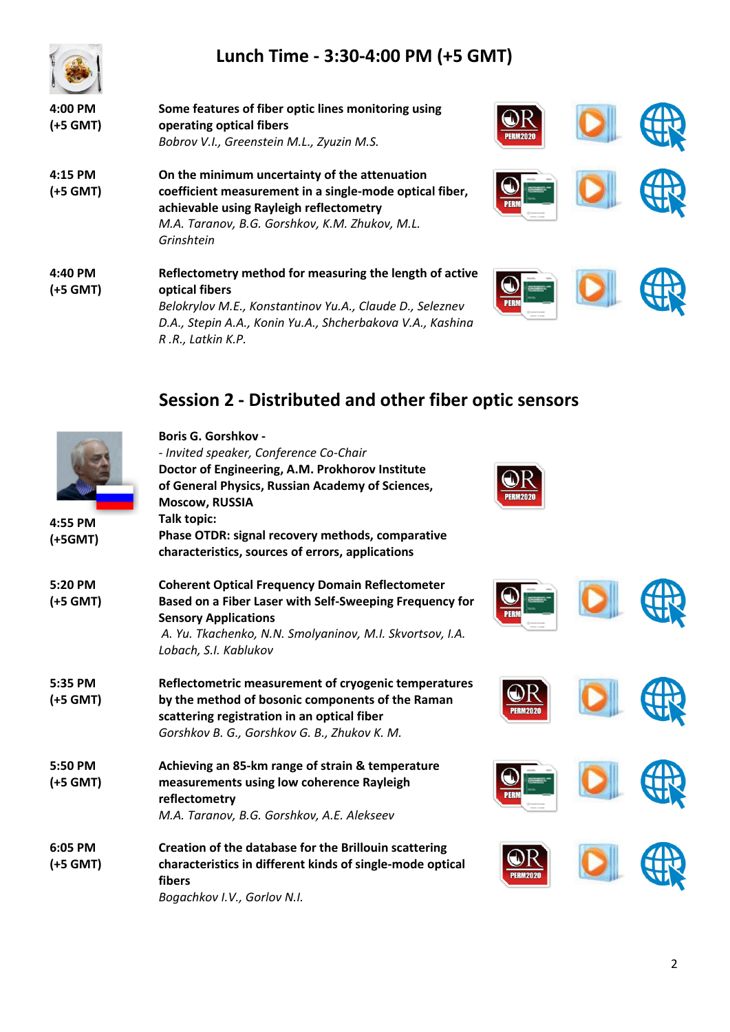



| $4:00$ PM<br>(+5 GMT) | Some features of fiber optic lines monitoring using<br>operating optical fibers<br>Bobrov V.I., Greenstein M.L., Zyuzin M.S.                                                                                        |  |
|-----------------------|---------------------------------------------------------------------------------------------------------------------------------------------------------------------------------------------------------------------|--|
| 4:15 PM<br>(+5 GMT)   | On the minimum uncertainty of the attenuation<br>coefficient measurement in a single-mode optical fiber,<br>achievable using Rayleigh reflectometry<br>M.A. Taranov, B.G. Gorshkov, K.M. Zhukov, M.L.<br>Grinshtein |  |
| 4:40 PM<br>(+5 GMT)   | Reflectometry method for measuring the length of active<br>optical fibers<br>Belokrylov M E Konstantinov Yu A - Claude D<br>Seleznev                                                                                |  |

**Boris G. Gorshkov -**

*Belokrylov M.E., Konstantinov Yu.A., Claude D., Seleznev D.A., Stepin A.A., Konin Yu.A., Shcherbakova V.A., Kashina R .R., Latkin K.P.*









# **Session 2 - Distributed and other fiber optic sensors**

| 4:55 PM<br>(+5GMT)  | - Invited speaker, Conference Co-Chair<br>Doctor of Engineering, A.M. Prokhorov Institute<br>of General Physics, Russian Academy of Sciences,<br><b>Moscow, RUSSIA</b><br>Talk topic:<br>Phase OTDR: signal recovery methods, comparative<br>characteristics, sources of errors, applications |  |
|---------------------|-----------------------------------------------------------------------------------------------------------------------------------------------------------------------------------------------------------------------------------------------------------------------------------------------|--|
| 5:20 PM<br>(+5 GMT) | <b>Coherent Optical Frequency Domain Reflectometer</b><br>Based on a Fiber Laser with Self-Sweeping Frequency for<br><b>Sensory Applications</b><br>A. Yu. Tkachenko, N.N. Smolyaninov, M.I. Skvortsov, I.A.<br>Lobach, S.I. Kablukov                                                         |  |
| 5:35 PM<br>(+5 GMT) | Reflectometric measurement of cryogenic temperatures<br>by the method of bosonic components of the Raman<br>scattering registration in an optical fiber<br>Gorshkov B. G., Gorshkov G. B., Zhukov K. M.                                                                                       |  |
| 5:50 PM<br>(+5 GMT) | Achieving an 85-km range of strain & temperature<br>measurements using low coherence Rayleigh<br>reflectometry<br>M.A. Taranov, B.G. Gorshkov, A.E. Alekseev                                                                                                                                  |  |
| 6:05 PM<br>(+5 GMT) | Creation of the database for the Brillouin scattering<br>characteristics in different kinds of single-mode optical<br>fibers<br>Bogachkov I.V., Gorlov N.I.                                                                                                                                   |  |

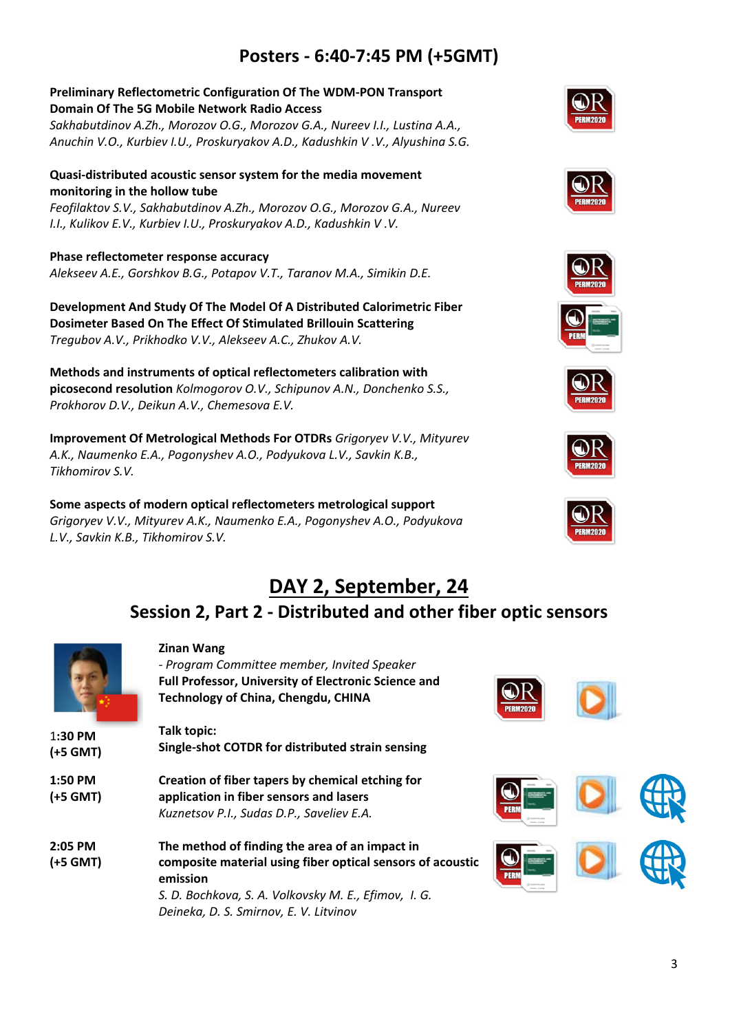## **Posters - 6:40-7:45 PM (+5GMT)**

#### **Preliminary Reflectometric Configuration Of The WDM-PON Transport Domain Of The 5G Mobile Network Radio Access**

*Sakhabutdinov A.Zh., Morozov O.G., Morozov G.A., Nureev I.I., Lustina A.A., Anuchin V.O., Kurbiev I.U., Proskuryakov A.D., Kadushkin V .V., Alyushina S.G.*

#### **Quasi-distributed acoustic sensor system for the media movement monitoring in the hollow tube**

*Feofilaktov S.V., Sakhabutdinov A.Zh., Morozov O.G., Morozov G.A., Nureev I.I., Kulikov E.V., Kurbiev I.U., Proskuryakov A.D., Kadushkin V .V.*

**Phase reflectometer response accuracy** *Alekseev A.E., Gorshkov B.G., Potapov V.T., Taranov M.A., Simikin D.E.*

**Development And Study Of The Model Of A Distributed Calorimetric Fiber Dosimeter Based On The Effect Of Stimulated Brillouin Scattering**  *Tregubov A.V., Prikhodko V.V., Alekseev A.C., Zhukov A.V.*

**Methods and instruments of optical reflectometers calibration with picosecond resolution** *Kolmogorov O.V., Schipunov A.N., Donchenko S.S., Prokhorov D.V., Deikun A.V., Chemesova E.V.*

**Improvement Of Metrological Methods For OTDRs** *Grigoryev V.V., Mityurev A.K., Naumenko E.A., Pogonyshev A.O., Podyukova L.V., Savkin K.B., Tikhomirov S.V.*

**Some aspects of modern optical reflectometers metrological support** *Grigoryev V.V., Mityurev A.K., Naumenko E.A., Pogonyshev A.O., Podyukova L.V., Savkin K.B., Tikhomirov S.V.*















## **DAY 2, September, 24 Session 2, Part 2 - Distributed and other fiber optic sensors**

|          | <b>Zinan Wang</b>                                                      |
|----------|------------------------------------------------------------------------|
|          | - Program Committee member, Invited Speaker                            |
|          | <b>Full Professor, University of Electronic Science and</b>            |
|          | <b>Technology of China, Chengdu, CHINA</b>                             |
| 1:30 PM  | Talk topic:                                                            |
| (+5 GMT) | Single-shot COTDR for distributed strain sensing                       |
| 1:50 PM  | Creation of fiber tapers by chemical etching for                       |
| (+5 GMT) | application in fiber sensors and lasers                                |
|          | Kuznetsov P.I., Sudas D.P., Saveliev E.A.                              |
| 2:05 PM  | The method of finding the area of an impact in                         |
| (+5 GMT) | composite material using fiber optical sensors of acoustic<br>emission |
|          | S. D. Bochkova, S. A. Volkovsky M. E., Efimov, I. G.                   |
|          | Deineka, D. S. Smirnov, E. V. Litvinov                                 |
|          |                                                                        |





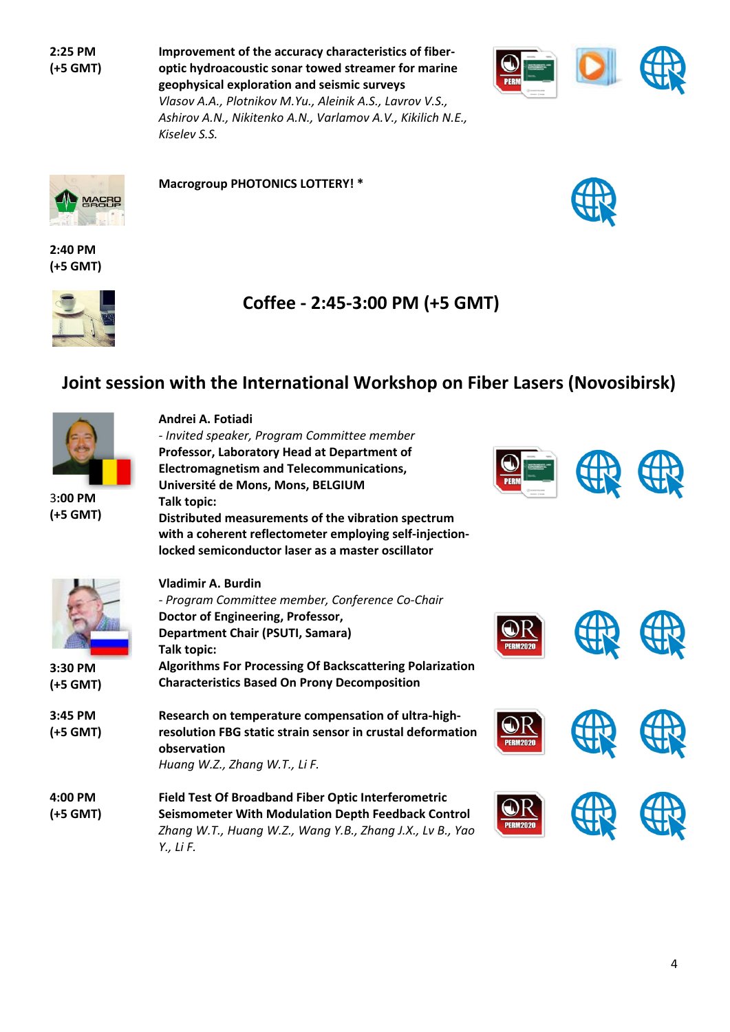**2:25 PM (+5 GMT)** **Improvement of the accuracy characteristics of fiberoptic hydroacoustic sonar towed streamer for marine geophysical exploration and seismic surveys** *Vlasov A.A., Plotnikov M.Yu., Aleinik A.S., Lavrov V.S., Ashirov A.N., Nikitenko A.N., Varlamov A.V., Kikilich N.E.,* 



MACRO **Single** 

**Macrogroup PHOTONICS LOTTERY! \***

*- Invited speaker, Program Committee member*

*Kiselev S.S.*

**Andrei A. Fotiadi**



**2:40 PM (+5 GMT)**





### **Joint session with the International Workshop on Fiber Lasers (Novosibirsk)**



3**:00 PM (+5 GMT)**

| $3:00$ PM<br>(+5 GMT) | Professor, Laboratory Head at Department of<br><b>Electromagnetism and Telecommunications,</b><br>Université de Mons, Mons, BELGIUM<br>Talk topic:<br>Distributed measurements of the vibration spectrum<br>with a coherent reflectometer employing self-injection-<br>locked semiconductor laser as a master oscillator |          |  |
|-----------------------|--------------------------------------------------------------------------------------------------------------------------------------------------------------------------------------------------------------------------------------------------------------------------------------------------------------------------|----------|--|
| 3:30 PM<br>(+5 GMT)   | Vladimir A. Burdin<br>- Program Committee member, Conference Co-Chair<br>Doctor of Engineering, Professor,<br><b>Department Chair (PSUTI, Samara)</b><br>Talk topic:<br><b>Algorithms For Processing Of Backscattering Polarization</b><br><b>Characteristics Based On Prony Decomposition</b>                           | PFRM2N2N |  |
| 3:45 PM<br>(+5 GMT)   | Research on temperature compensation of ultra-high-<br>resolution FBG static strain sensor in crustal deformation<br>observation<br>Huang W.Z., Zhang W.T., Li F.                                                                                                                                                        |          |  |
| $4:00$ PM<br>(+5 GMT) | <b>Field Test Of Broadband Fiber Optic Interferometric</b><br><b>Seismometer With Modulation Depth Feedback Control</b><br>Zhang W.T., Huang W.Z., Wang Y.B., Zhang J.X., Lv B., Yao<br>Y., Li F.                                                                                                                        |          |  |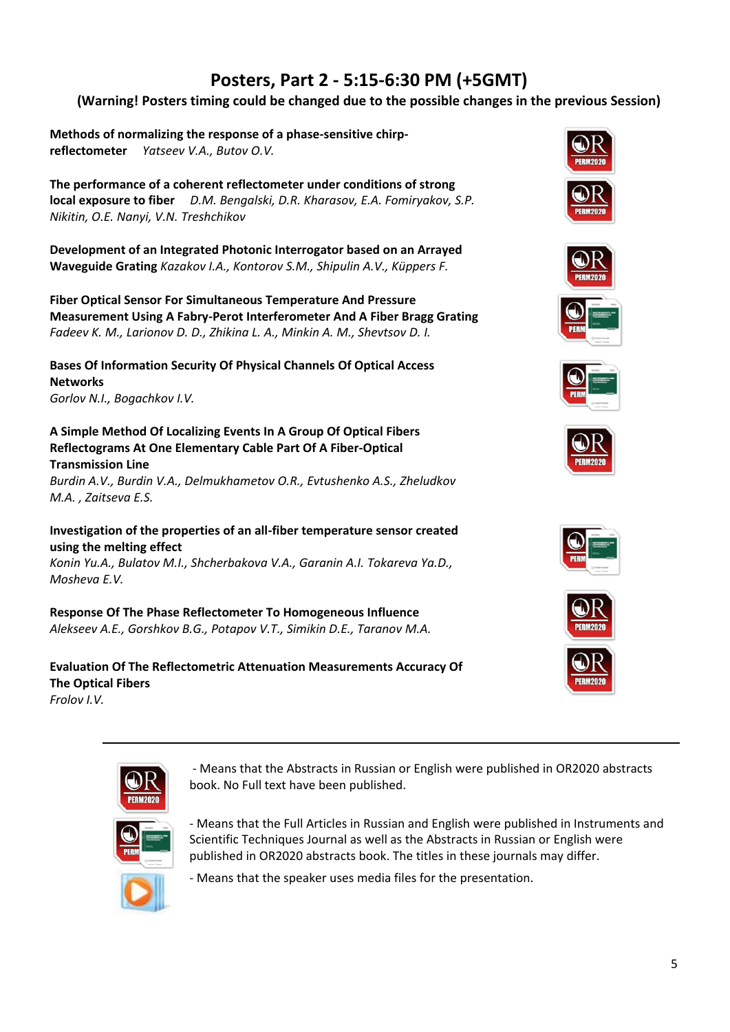## **Posters, Part 2 - 5:15-6:30 PM (+5GMT)**

#### **(Warning! Posters timing could be changed due to the possible changes in the previous Session)**

**Methods of normalizing the response of a phase-sensitive chirpreflectometer** *Yatseev V.A., Butov O.V.*

**The performance of a coherent reflectometer under conditions of strong local exposure to fiber** *D.M. Bengalski, D.R. Kharasov, E.A. Fomiryakov, S.P. Nikitin, O.E. Nanyi, V.N. Treshchikov*

**Development of an Integrated Photonic Interrogator based on an Arrayed Waveguide Grating** *Kazakov I.A., Kontorov S.M., Shipulin A.V., Küppers F.*

**Fiber Optical Sensor For Simultaneous Temperature And Pressure Measurement Using A Fabry-Perot Interferometer And A Fiber Bragg Grating**  *Fadeev K. M., Larionov D. D., Zhikina L. A., Minkin A. M., Shevtsov D. I.*

**Bases Of Information Security Of Physical Channels Of Optical Access Networks** *Gorlov N.I., Bogachkov I.V.*

**A Simple Method Of Localizing Events In A Group Of Optical Fibers Reflectograms At One Elementary Cable Part Of A Fiber-Optical Transmission Line**

*Burdin A.V., Burdin V.A., Delmukhametov O.R., Evtushenko A.S., Zheludkov M.A. , Zaitseva E.S.*

**Investigation of the properties of an all-fiber temperature sensor created using the melting effect**

*Konin Yu.A., Bulatov M.I., Shcherbakova V.A., Garanin A.I. Tokareva Ya.D., Mosheva E.V.*

**Response Of The Phase Reflectometer To Homogeneous Influence** *Alekseev A.E., Gorshkov B.G., Potapov V.T., Simikin D.E., Taranov M.A.*

#### **Evaluation Of The Reflectometric Attenuation Measurements Accuracy Of The Optical Fibers** *Frolov I.V.*

















- Means that the Abstracts in Russian or English were published in OR2020 abstracts book. No Full text have been published.

- Means that the Full Articles in Russian and English were published in Instruments and Scientific Techniques Journal as well as the Abstracts in Russian or English were published in OR2020 abstracts book. The titles in these journals may differ.

- Means that the speaker uses media files for the presentation.